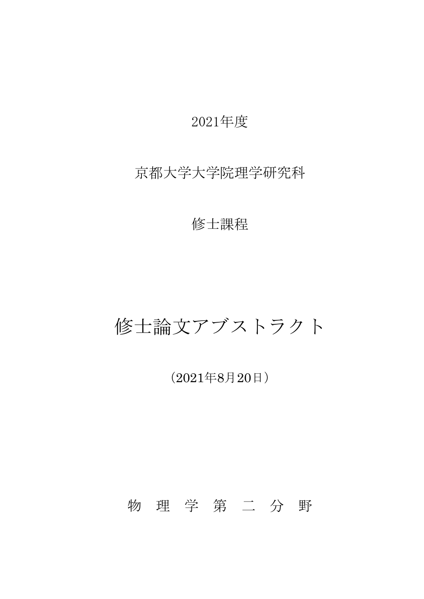### 2021年度

## 京都大学大学院理学研究科

### 修士課程

# 修士論文アブストラクト

(2021年8月20日)

# 物 理 学 第 二 分 野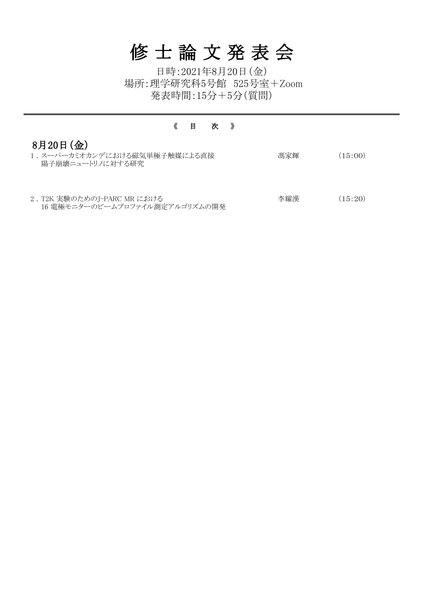| 1. スーパーカミオカンデにおける磁気単極子触媒による直接 | 馮家輝 | (15:00) |
|-------------------------------|-----|---------|
| 陽子崩壊ニュートリノに対する研究              |     |         |
|                               |     |         |
|                               |     |         |

2 . T2K 実験のためのJ-PARC MR における 16 電極モニターのビームプロファイル測定アルゴリズムの開発 李耀漢 (15:20)

#### 《 目 次 》

# 8月20日(金)

# 修 士 論 文 発 表 会

日時:2021年8月20日(金) 発表時間:15分+5分(質問) 場所:理学研究科5号館 525号室+Zoom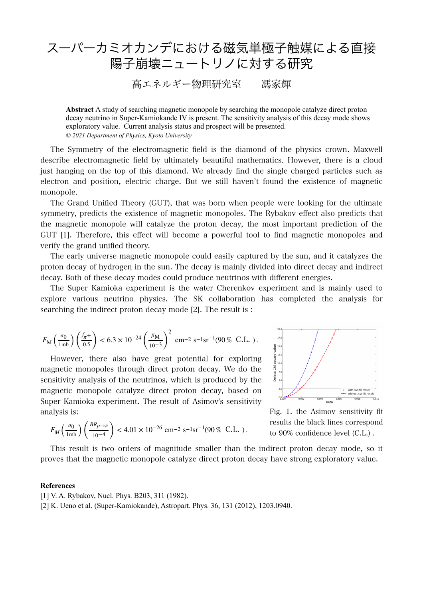# スーパーカミオカンデにおける磁気単極子触媒による直接 陽子崩壊ニュートリノに対する研究

#### 高エネルギー物理研究室 馮家輝

**Abstract** A study of searching magnetic monopole by searching the monopole catalyze direct proton decay neutrino in Super-Kamiokande IV is present. The sensitivity analysis of this decay mode shows exploratory value. Current analysis status and prospect will be presented. *© 2021 Department of Physics, Kyoto University* 

The Symmetry of the electromagnetic field is the diamond of the physics crown. Maxwell describe electromagnetic field by ultimately beautiful mathematics. However, there is a cloud just hanging on the top of this diamond. We already find the single charged particles such as electron and position, electric charge. But we still haven't found the existence of magnetic monopole.

The Grand Unified Theory (GUT), that was born when people were looking for the ultimate symmetry, predicts the existence of magnetic monopoles. The Rybakov effect also predicts that the magnetic monopole will catalyze the proton decay, the most important prediction of the GUT [1]. Therefore, this effect will become a powerful tool to find magnetic monopoles and verify the grand unified theory.

The early universe magnetic monopole could easily captured by the sun, and it catalyzes the proton decay of hydrogen in the sun. The decay is mainly divided into direct decay and indirect decay. Both of these decay modes could produce neutrinos with different energies.

The Super Kamioka experiment is the water Cherenkov experiment and is mainly used to explore various neutrino physics. The SK collaboration has completed the analysis for searching the indirect proton decay mode [2]. The result is :

$$
F_{\rm M} \left( \frac{\sigma_0}{1 \rm m b} \right) \left( \frac{f_{\pi} +}{0.5} \right) < 6.3 \times 10^{-24} \left( \frac{\beta_{\rm M}}{10^{-3}} \right)^2 \rm \ cm^{-2} \ s^{-1} sr^{-1} (90\,\%\rm \ C.L. \ ).
$$

However, there also have great potential for exploring magnetic monopoles through direct proton decay. We do the sensitivity analysis of the neutrinos, which is produced by the magnetic monopole catalyze direct proton decay, based on Super Kamioka experiment. The result of Asimov's sensitivity analysis is:

$$
F_M\left(\frac{\sigma_0}{1\,{\rm mb}}\right) \left(\frac{BR_{p\to\bar\nu}}{10^{-4}}\right) < 4.01\times 10^{-26}~{\rm cm}^{-2}~{\rm s}^{-1}{\rm sr}^{-1} (90\,\%\rm~C.L.~) \,.
$$



Fig. 1. the Asimov sensitivity fit results the black lines correspond to 90% confidence level (C.L.) .

This result is two orders of magnitude smaller than the indirect proton decay mode, so it proves that the magnetic monopole catalyze direct proton decay have strong exploratory value.

#### **References**

[1] V. A. Rybakov, Nucl. Phys. B203, 311 (1982). [2] K. Ueno et al. (Super-Kamiokande), Astropart. Phys. 36, 131 (2012), 1203.0940.